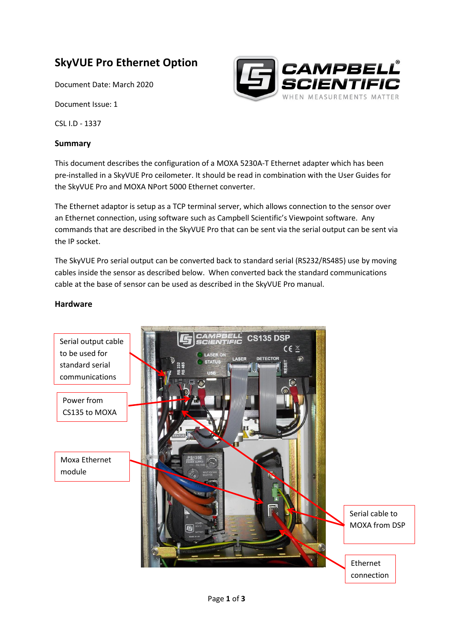# **SkyVUE Pro Ethernet Option**

Document Date: March 2020

Document Issue: 1

CSL I.D - 1337

#### **Summary**

This document describes the configuration of a MOXA 5230A-T Ethernet adapter which has been pre-installed in a SkyVUE Pro ceilometer. It should be read in combination with the User Guides for the SkyVUE Pro and MOXA NPort 5000 Ethernet converter.

The Ethernet adaptor is setup as a TCP terminal server, which allows connection to the sensor over an Ethernet connection, using software such as Campbell Scientific's Viewpoint software. Any commands that are described in the SkyVUE Pro that can be sent via the serial output can be sent via the IP socket.

The SkyVUE Pro serial output can be converted back to standard serial (RS232/RS485) use by moving cables inside the sensor as described below. When converted back the standard communications cable at the base of sensor can be used as described in the SkyVUE Pro manual.

### **Hardware**



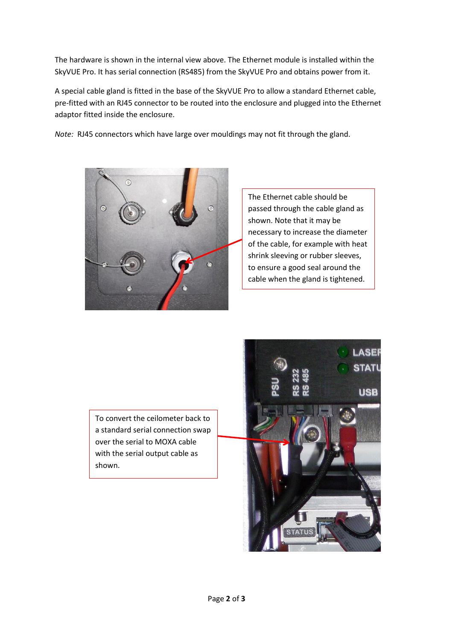The hardware is shown in the internal view above. The Ethernet module is installed within the SkyVUE Pro. It has serial connection (RS485) from the SkyVUE Pro and obtains power from it.

A special cable gland is fitted in the base of the SkyVUE Pro to allow a standard Ethernet cable, pre-fitted with an RJ45 connector to be routed into the enclosure and plugged into the Ethernet adaptor fitted inside the enclosure.

*Note:* RJ45 connectors which have large over mouldings may not fit through the gland.



The Ethernet cable should be passed through the cable gland as shown. Note that it may be necessary to increase the diameter of the cable, for example with heat shrink sleeving or rubber sleeves, to ensure a good seal around the cable when the gland is tightened.

To convert the ceilometer back to a standard serial connection swap over the serial to MOXA cable with the serial output cable as shown.